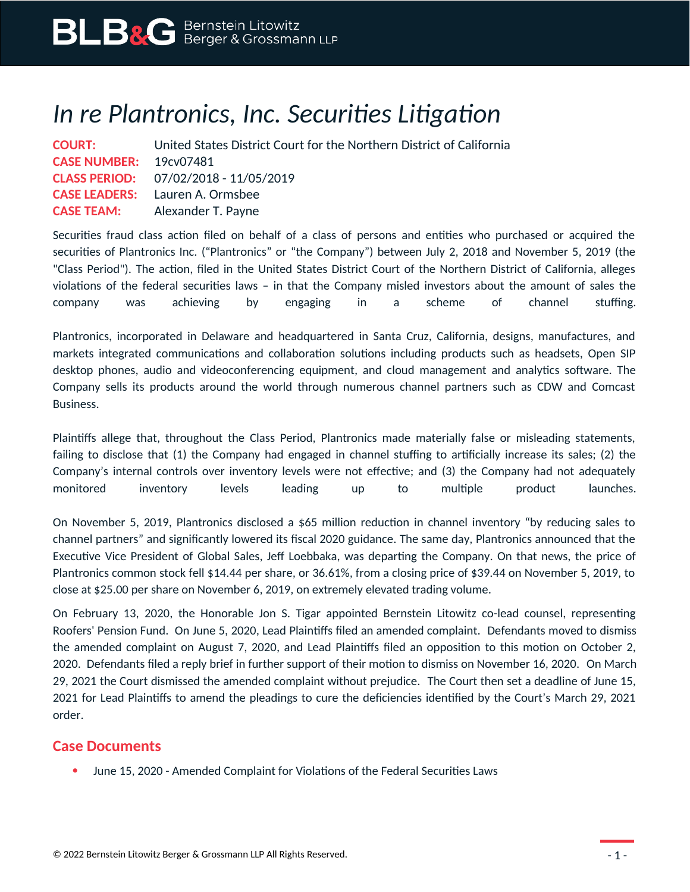## *In re Plantronics, Inc. Securities Litigation*

|                                     | <b>COURT:</b> United States District Court for the Northern District of California |
|-------------------------------------|------------------------------------------------------------------------------------|
| CASE NUMBER: 19 <sub>CV0</sub> 7481 |                                                                                    |
|                                     | <b>CLASS PERIOD:</b> 07/02/2018 - 11/05/2019                                       |
|                                     | <b>CASE LEADERS:</b> Lauren A. Ormsbee                                             |
|                                     | <b>CASE TEAM:</b> Alexander T. Payne                                               |

Securities fraud class action filed on behalf of a class of persons and entities who purchased or acquired the securities of Plantronics Inc. ("Plantronics" or "the Company") between July 2, 2018 and November 5, 2019 (the "Class Period"). The action, filed in the United States District Court of the Northern District of California, alleges violations of the federal securities laws – in that the Company misled investors about the amount of sales the company was achieving by engaging in a scheme of channel stuffing.

Plantronics, incorporated in Delaware and headquartered in Santa Cruz, California, designs, manufactures, and markets integrated communications and collaboration solutions including products such as headsets, Open SIP desktop phones, audio and videoconferencing equipment, and cloud management and analytics software. The Company sells its products around the world through numerous channel partners such as CDW and Comcast Business.

Plaintiffs allege that, throughout the Class Period, Plantronics made materially false or misleading statements, failing to disclose that (1) the Company had engaged in channel stuffing to artificially increase its sales; (2) the Company's internal controls over inventory levels were not effective; and (3) the Company had not adequately monitored inventory levels leading up to multiple product launches.

On November 5, 2019, Plantronics disclosed a \$65 million reduction in channel inventory "by reducing sales to channel partners" and significantly lowered its fiscal 2020 guidance. The same day, Plantronics announced that the Executive Vice President of Global Sales, Jeff Loebbaka, was departing the Company. On that news, the price of Plantronics common stock fell \$14.44 per share, or 36.61%, from a closing price of \$39.44 on November 5, 2019, to close at \$25.00 per share on November 6, 2019, on extremely elevated trading volume.

On February 13, 2020, the Honorable Jon S. Tigar appointed Bernstein Litowitz co-lead counsel, representing Roofers' Pension Fund. On June 5, 2020, Lead Plaintiffs filed an amended complaint. Defendants moved to dismiss the amended complaint on August 7, 2020, and Lead Plaintiffs filed an opposition to this motion on October 2, 2020. Defendants filed a reply brief in further support of their motion to dismiss on November 16, 2020. On March 29, 2021 the Court dismissed the amended complaint without prejudice. The Court then set a deadline of June 15, 2021 for Lead Plaintiffs to amend the pleadings to cure the deficiencies identified by the Court's March 29, 2021 order.

## **Case Documents**

June 15, 2020 - Amended Complaint for Violations of the Federal Securities Laws